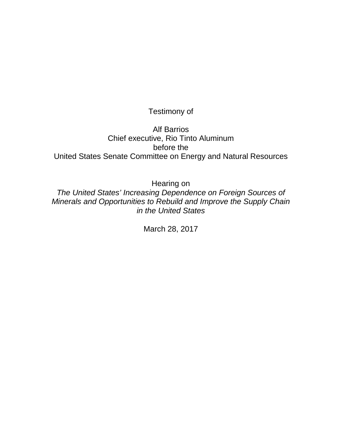# Testimony of

# Alf Barrios Chief executive, Rio Tinto Aluminum before the United States Senate Committee on Energy and Natural Resources

Hearing on

*The United States' Increasing Dependence on Foreign Sources of Minerals and Opportunities to Rebuild and Improve the Supply Chain in the United States*

March 28, 2017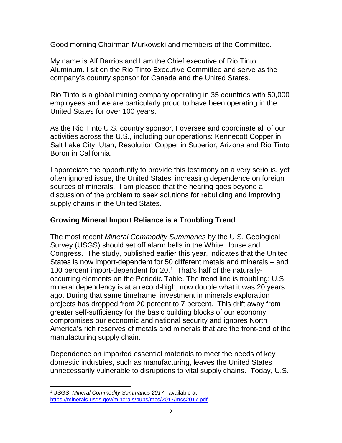Good morning Chairman Murkowski and members of the Committee.

My name is Alf Barrios and I am the Chief executive of Rio Tinto Aluminum. I sit on the Rio Tinto Executive Committee and serve as the company's country sponsor for Canada and the United States.

Rio Tinto is a global mining company operating in 35 countries with 50,000 employees and we are particularly proud to have been operating in the United States for over 100 years.

As the Rio Tinto U.S. country sponsor, I oversee and coordinate all of our activities across the U.S., including our operations: Kennecott Copper in Salt Lake City, Utah, Resolution Copper in Superior, Arizona and Rio Tinto Boron in California.

I appreciate the opportunity to provide this testimony on a very serious, yet often ignored issue, the United States' increasing dependence on foreign sources of minerals. I am pleased that the hearing goes beyond a discussion of the problem to seek solutions for rebuilding and improving supply chains in the United States.

## **Growing Mineral Import Reliance is a Troubling Trend**

The most recent *Mineral Commodity Summaries* by the U.S. Geological Survey (USGS) should set off alarm bells in the White House and Congress. The study, published earlier this year, indicates that the United States is now import-dependent for 50 different metals and minerals – and [1](#page-1-0)00 percent import-dependent for  $20.<sup>1</sup>$  That's half of the naturallyoccurring elements on the Periodic Table. The trend line is troubling: U.S. mineral dependency is at a record-high, now double what it was 20 years ago. During that same timeframe, investment in minerals exploration projects has dropped from 20 percent to 7 percent. This drift away from greater self-sufficiency for the basic building blocks of our economy compromises our economic and national security and ignores North America's rich reserves of metals and minerals that are the front-end of the manufacturing supply chain.

Dependence on imported essential materials to meet the needs of key domestic industries, such as manufacturing, leaves the United States unnecessarily vulnerable to disruptions to vital supply chains. Today, U.S.

<span id="page-1-0"></span> <sup>1</sup> USGS, *Mineral Commodity Summaries 2017*, available at <https://minerals.usgs.gov/minerals/pubs/mcs/2017/mcs2017.pdf>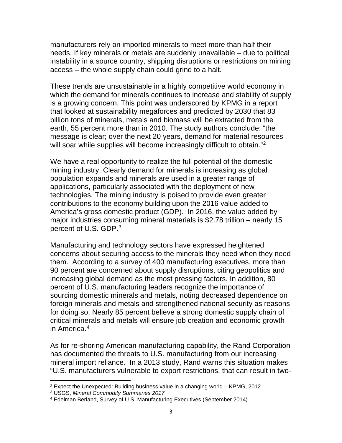manufacturers rely on imported minerals to meet more than half their needs. If key minerals or metals are suddenly unavailable – due to political instability in a source country, shipping disruptions or restrictions on mining access – the whole supply chain could grind to a halt.

These trends are unsustainable in a highly competitive world economy in which the demand for minerals continues to increase and stability of supply is a growing concern. This point was underscored by KPMG in a report that looked at sustainability megaforces and predicted by 2030 that 83 billion tons of minerals, metals and biomass will be extracted from the earth, 55 percent more than in 2010. The study authors conclude: "the message is clear; over the next 20 years, demand for material resources will soar while supplies will become increasingly difficult to obtain."<sup>[2](#page-2-0)</sup>

We have a real opportunity to realize the full potential of the domestic mining industry. Clearly demand for minerals is increasing as global population expands and minerals are used in a greater range of applications, particularly associated with the deployment of new technologies. The mining industry is poised to provide even greater contributions to the economy building upon the 2016 value added to America's gross domestic product (GDP). In 2016, the value added by major industries consuming mineral materials is \$2.78 trillion – nearly 15 percent of U.S. GDP.<sup>[3](#page-2-1)</sup>

Manufacturing and technology sectors have expressed heightened concerns about securing access to the minerals they need when they need them. According to a survey of 400 manufacturing executives, more than 90 percent are concerned about supply disruptions, citing geopolitics and increasing global demand as the most pressing factors. In addition, 80 percent of U.S. manufacturing leaders recognize the importance of sourcing domestic minerals and metals, noting decreased dependence on foreign minerals and metals and strengthened national security as reasons for doing so. Nearly 85 percent believe a strong domestic supply chain of critical minerals and metals will ensure job creation and economic growth in America.<sup>[4](#page-2-2)</sup>

As for re-shoring American manufacturing capability, the Rand Corporation has documented the threats to U.S. manufacturing from our increasing mineral import reliance. In a 2013 study, Rand warns this situation makes "U.S. manufacturers vulnerable to export restrictions. that can result in two-

<span id="page-2-0"></span> $\overline{\phantom{a}}$  $2$  Expect the Unexpected: Building business value in a changing world – KPMG, 2012

<span id="page-2-1"></span><sup>3</sup> USGS, *Mineral Commodity Summaries 2017*

<span id="page-2-2"></span><sup>4</sup> Edelman Berland, Survey of U.S. Manufacturing Executives (September 2014).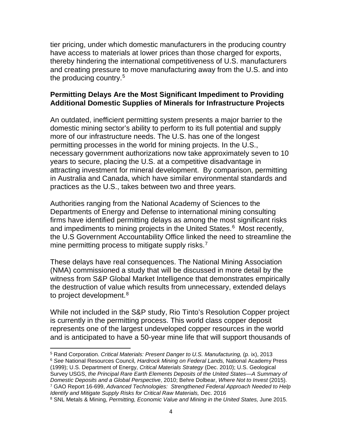tier pricing, under which domestic manufacturers in the producing country have access to materials at lower prices than those charged for exports, thereby hindering the international competitiveness of U.S. manufacturers and creating pressure to move manufacturing away from the U.S. and into the producing country.<sup>5</sup>

## **Permitting Delays Are the Most Significant Impediment to Providing Additional Domestic Supplies of Minerals for Infrastructure Projects**

An outdated, inefficient permitting system presents a major barrier to the domestic mining sector's ability to perform to its full potential and supply more of our infrastructure needs. The U.S. has one of the longest permitting processes in the world for mining projects. In the U.S., necessary government authorizations now take approximately seven to 10 years to secure, placing the U.S. at a competitive disadvantage in attracting investment for mineral development. By comparison, permitting in Australia and Canada, which have similar environmental standards and practices as the U.S., takes between two and three years.

Authorities ranging from the National Academy of Sciences to the Departments of Energy and Defense to international mining consulting firms have identified permitting delays as among the most significant risks and impediments to mining projects in the United States.<sup>[6](#page-3-1)</sup> Most recently, the U.S Government Accountability Office linked the need to streamline the mine permitting process to mitigate supply risks.<sup>7</sup>

These delays have real consequences. The National Mining Association (NMA) commissioned a study that will be discussed in more detail by the witness from S&P Global Market Intelligence that demonstrates empirically the destruction of value which results from unnecessary, extended delays to project development.<sup>[8](#page-3-3)</sup>

While not included in the S&P study, Rio Tinto's Resolution Copper project is currently in the permitting process. This world class copper deposit represents one of the largest undeveloped copper resources in the world and is anticipated to have a 50-year mine life that will support thousands of

l <sup>5</sup> Rand Corporation. *Critical Materials: Present Danger to U.S. Manufacturing,* (p. ix), 2013

<span id="page-3-1"></span><span id="page-3-0"></span><sup>6</sup> *See* National Resources Council*, Hardrock Mining on Federal Lands,* National Academy Press (1999); U.S. Department of Energy, *Critical Materials Strategy* (Dec. 2010); U.S. Geological Survey USGS, *the Principal Rare Earth Elements Deposits of the United States—A Summary of Domestic Deposits and a Global Perspective*, 2010; Behre Dolbear, *Where Not to Invest* (2015). <sup>7</sup> GAO Report 16-699, *Advanced Technologies: Strengthened Federal Approach Needed to Help Identify and Mitigate Supply Risks for Critical Raw Materials,* Dec. 2016

<span id="page-3-3"></span><span id="page-3-2"></span><sup>8</sup> SNL Metals & Mining, *Permitting, Economic Value and Mining in the United States,* June 2015.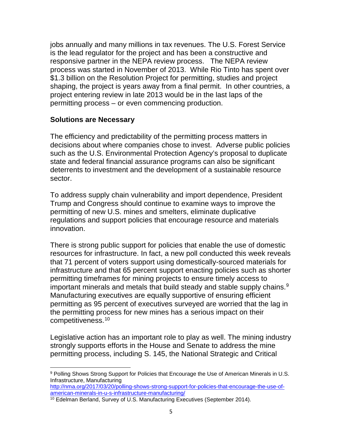jobs annually and many millions in tax revenues. The U.S. Forest Service is the lead regulator for the project and has been a constructive and responsive partner in the NEPA review process. The NEPA review process was started in November of 2013. While Rio Tinto has spent over \$1.3 billion on the Resolution Project for permitting, studies and project shaping, the project is years away from a final permit. In other countries, a project entering review in late 2013 would be in the last laps of the permitting process – or even commencing production.

### **Solutions are Necessary**

l

The efficiency and predictability of the permitting process matters in decisions about where companies chose to invest. Adverse public policies such as the U.S. Environmental Protection Agency's proposal to duplicate state and federal financial assurance programs can also be significant deterrents to investment and the development of a sustainable resource sector.

To address supply chain vulnerability and import dependence, President Trump and Congress should continue to examine ways to improve the permitting of new U.S. mines and smelters, eliminate duplicative regulations and support policies that encourage resource and materials innovation.

There is strong public support for policies that enable the use of domestic resources for infrastructure. In fact, a new poll conducted this week reveals that 71 percent of voters support using domestically-sourced materials for infrastructure and that 65 percent support enacting policies such as shorter permitting timeframes for mining projects to ensure timely access to important minerals and metals that build steady and stable supply chains.<sup>[9](#page-4-0)</sup> Manufacturing executives are equally supportive of ensuring efficient permitting as 95 percent of executives surveyed are worried that the lag in the permitting process for new mines has a serious impact on their competitiveness.[10](#page-4-1)

Legislative action has an important role to play as well. The mining industry strongly supports efforts in the House and Senate to address the mine permitting process, including S. 145, the National Strategic and Critical

<span id="page-4-0"></span><sup>9</sup> Polling Shows Strong Support for Policies that Encourage the Use of American Minerals in U.S. Infrastructure, Manufacturing [http://nma.org/2017/03/20/polling-shows-strong-support-for-policies-that-encourage-the-use-of-](http://nma.org/2017/03/20/polling-shows-strong-support-for-policies-that-encourage-the-use-of-american-minerals-in-u-s-infrastructure-manufacturing/)

[american-minerals-in-u-s-infrastructure-manufacturing/](http://nma.org/2017/03/20/polling-shows-strong-support-for-policies-that-encourage-the-use-of-american-minerals-in-u-s-infrastructure-manufacturing/)

<span id="page-4-1"></span><sup>10</sup> Edelman Berland, Survey of U.S. Manufacturing Executives (September 2014).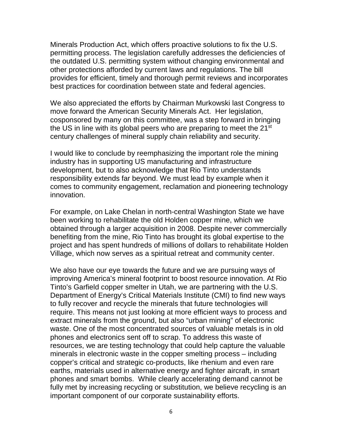Minerals Production Act, which offers proactive solutions to fix the U.S. permitting process. The legislation carefully addresses the deficiencies of the outdated U.S. permitting system without changing environmental and other protections afforded by current laws and regulations. The bill provides for efficient, timely and thorough permit reviews and incorporates best practices for coordination between state and federal agencies.

We also appreciated the efforts by Chairman Murkowski last Congress to move forward the American Security Minerals Act. Her legislation, cosponsored by many on this committee, was a step forward in bringing the US in line with its global peers who are preparing to meet the 21<sup>st</sup> century challenges of mineral supply chain reliability and security.

I would like to conclude by reemphasizing the important role the mining industry has in supporting US manufacturing and infrastructure development, but to also acknowledge that Rio Tinto understands responsibility extends far beyond. We must lead by example when it comes to community engagement, reclamation and pioneering technology innovation.

For example, on Lake Chelan in north-central Washington State we have been working to rehabilitate the old Holden copper mine, which we obtained through a larger acquisition in 2008. Despite never commercially benefiting from the mine, Rio Tinto has brought its global expertise to the project and has spent hundreds of millions of dollars to rehabilitate Holden Village, which now serves as a spiritual retreat and community center.

We also have our eye towards the future and we are pursuing ways of improving America's mineral footprint to boost resource innovation. At Rio Tinto's Garfield copper smelter in Utah, we are partnering with the U.S. Department of Energy's Critical Materials Institute (CMI) to find new ways to fully recover and recycle the minerals that future technologies will require. This means not just looking at more efficient ways to process and extract minerals from the ground, but also "urban mining" of electronic waste. One of the most concentrated sources of valuable metals is in old phones and electronics sent off to scrap. To address this waste of resources, we are testing technology that could help capture the valuable minerals in electronic waste in the copper smelting process – including copper's critical and strategic co-products, like rhenium and even rare earths, materials used in alternative energy and fighter aircraft, in smart phones and smart bombs. While clearly accelerating demand cannot be fully met by increasing recycling or substitution, we believe recycling is an important component of our corporate sustainability efforts.